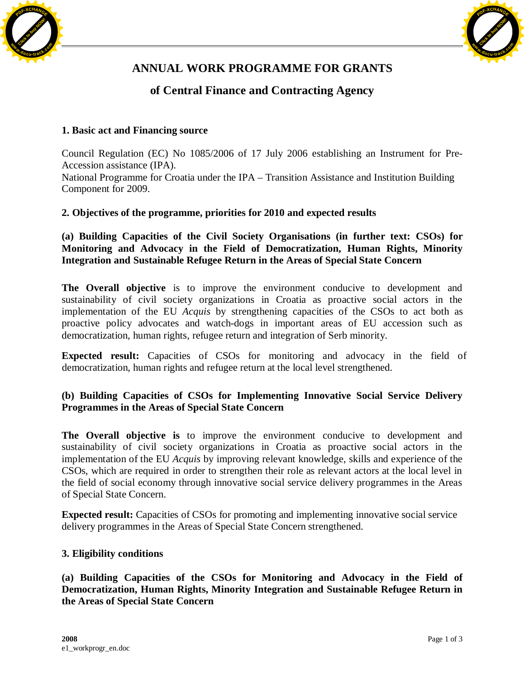



# **ANNUAL WORK PROGRAMME FOR GRANTS**

# **of Central Finance and Contracting Agency**

# **1. Basic act and Financing source**

Council Regulation (EC) No 1085/2006 of 17 July 2006 establishing an Instrument for Pre-Accession assistance (IPA). National Programme for Croatia under the IPA – Transition Assistance and Institution Building Component for 2009.

# **2. Objectives of the programme, priorities for 2010 and expected results**

**(a) Building Capacities of the Civil Society Organisations (in further text: CSOs) for Monitoring and Advocacy in the Field of Democratization, Human Rights, Minority Integration and Sustainable Refugee Return in the Areas of Special State Concern**

**The Overall objective** is to improve the environment conducive to development and sustainability of civil society organizations in Croatia as proactive social actors in the implementation of the EU *Acquis* by strengthening capacities of the CSOs to act both as proactive policy advocates and watch-dogs in important areas of EU accession such as democratization, human rights, refugee return and integration of Serb minority.

**Expected result:** Capacities of CSOs for monitoring and advocacy in the field of democratization, human rights and refugee return at the local level strengthened.

# **(b) Building Capacities of CSOs for Implementing Innovative Social Service Delivery Programmes in the Areas of Special State Concern**

**The Overall objective is** to improve the environment conducive to development and sustainability of civil society organizations in Croatia as proactive social actors in the implementation of the EU *Acquis* by improving relevant knowledge, skills and experience of the CSOs, which are required in order to strengthen their role as relevant actors at the local level in the field of social economy through innovative social service delivery programmes in the Areas of Special State Concern.

**Expected result:** Capacities of CSOs for promoting and implementing innovative social service delivery programmes in the Areas of Special State Concern strengthened.

#### **3. Eligibility conditions**

**(a) Building Capacities of the CSOs for Monitoring and Advocacy in the Field of Democratization, Human Rights, Minority Integration and Sustainable Refugee Return in the Areas of Special State Concern**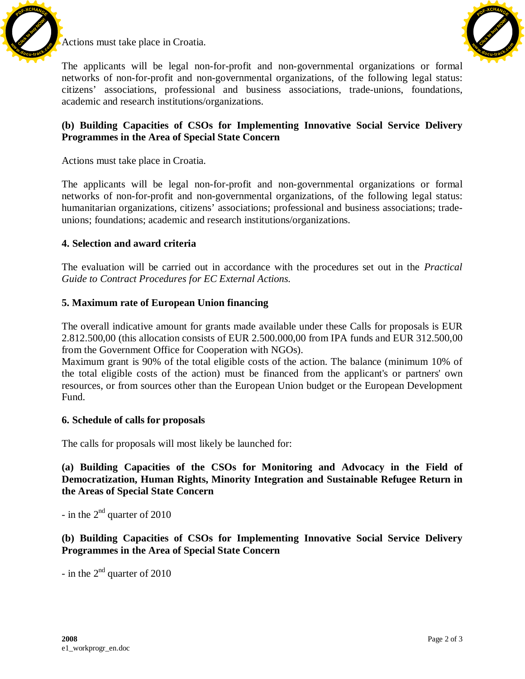

Actions must take place in Croatia.



The applicants will be legal non-for-profit and non-governmental organizations or formal networks of non-for-profit and non-governmental organizations, of the following legal status: citizens' associations, professional and business associations, trade-unions, foundations, academic and research institutions/organizations.

#### **(b) Building Capacities of CSOs for Implementing Innovative Social Service Delivery Programmes in the Area of Special State Concern**

Actions must take place in Croatia.

The applicants will be legal non-for-profit and non-governmental organizations or formal networks of non-for-profit and non-governmental organizations, of the following legal status: humanitarian organizations, citizens' associations; professional and business associations; tradeunions; foundations; academic and research institutions/organizations.

#### **4. Selection and award criteria**

The evaluation will be carried out in accordance with the procedures set out in the *Practical Guide to Contract Procedures for EC External Actions.*

#### **5. Maximum rate of European Union financing**

The overall indicative amount for grants made available under these Calls for proposals is EUR 2.812.500,00 (this allocation consists of EUR 2.500.000,00 from IPA funds and EUR 312.500,00 from the Government Office for Cooperation with NGOs).

Maximum grant is 90% of the total eligible costs of the action. The balance (minimum 10% of the total eligible costs of the action) must be financed from the applicant's or partners' own resources, or from sources other than the European Union budget or the European Development Fund.

#### **6. Schedule of calls for proposals**

The calls for proposals will most likely be launched for:

**(a) Building Capacities of the CSOs for Monitoring and Advocacy in the Field of Democratization, Human Rights, Minority Integration and Sustainable Refugee Return in the Areas of Special State Concern**

- in the  $2<sup>nd</sup>$  quarter of 2010

**(b) Building Capacities of CSOs for Implementing Innovative Social Service Delivery Programmes in the Area of Special State Concern**

- in the  $2<sup>nd</sup>$  quarter of 2010